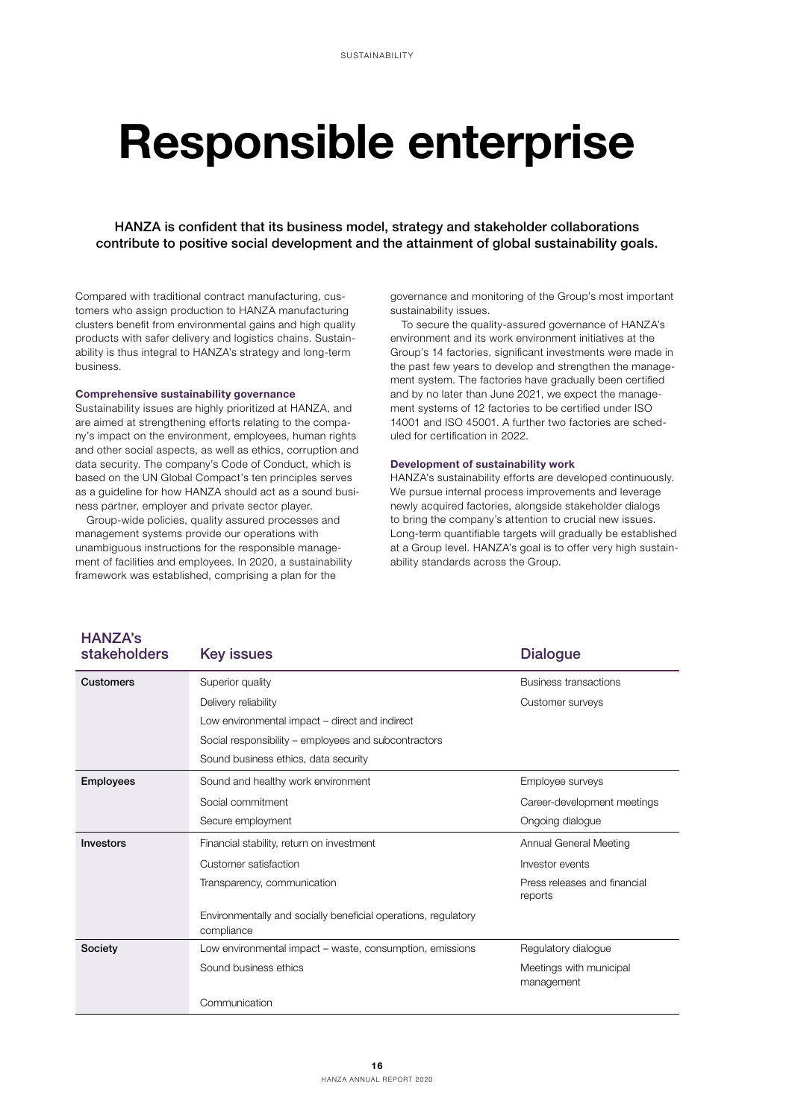# Responsible enterprise

HANZA is confident that its business model, strategy and stakeholder collaborations contribute to positive social development and the attainment of global sustainability goals.

Compared with traditional contract manufacturing, customers who assign production to HANZA manufacturing clusters benefit from environmental gains and high quality products with safer delivery and logistics chains. Sustainability is thus integral to HANZA's strategy and long-term business.

## Comprehensive sustainability governance

Sustainability issues are highly prioritized at HANZA, and are aimed at strengthening efforts relating to the company's impact on the environment, employees, human rights and other social aspects, as well as ethics, corruption and data security. The company's Code of Conduct, which is based on the UN Global Compact's ten principles serves as a guideline for how HANZA should act as a sound business partner, employer and private sector player.

Group-wide policies, quality assured processes and management systems provide our operations with unambiguous instructions for the responsible management of facilities and employees. In 2020, a sustainability framework was established, comprising a plan for the

 $HANDA$ 

governance and monitoring of the Group's most important sustainability issues.

To secure the quality-assured governance of HANZA's environment and its work environment initiatives at the Group's 14 factories, significant investments were made in the past few years to develop and strengthen the management system. The factories have gradually been certified and by no later than June 2021, we expect the management systems of 12 factories to be certified under ISO 14001 and ISO 45001. A further two factories are scheduled for certification in 2022.

## Development of sustainability work

HANZA's sustainability efforts are developed continuously. We pursue internal process improvements and leverage newly acquired factories, alongside stakeholder dialogs to bring the company's attention to crucial new issues. Long-term quantifiable targets will gradually be established at a Group level. HANZA's goal is to offer very high sustainability standards across the Group.

| I IANLA 5<br><b>stakeholders</b> | <b>Key issues</b>                                                            | <b>Dialogue</b>                         |
|----------------------------------|------------------------------------------------------------------------------|-----------------------------------------|
| <b>Customers</b>                 | Superior quality                                                             | <b>Business transactions</b>            |
|                                  | Delivery reliability                                                         | Customer surveys                        |
|                                  | Low environmental impact – direct and indirect                               |                                         |
|                                  | Social responsibility – employees and subcontractors                         |                                         |
|                                  | Sound business ethics, data security                                         |                                         |
| <b>Employees</b>                 | Sound and healthy work environment                                           | Employee surveys                        |
|                                  | Social commitment                                                            | Career-development meetings             |
|                                  | Secure employment                                                            | Ongoing dialogue                        |
| Investors                        | Financial stability, return on investment                                    | Annual General Meeting                  |
|                                  | Customer satisfaction                                                        | Investor events                         |
|                                  | Transparency, communication                                                  | Press releases and financial<br>reports |
|                                  | Environmentally and socially beneficial operations, regulatory<br>compliance |                                         |
| Society                          | Low environmental impact – waste, consumption, emissions                     | Regulatory dialogue                     |
|                                  | Sound business ethics                                                        | Meetings with municipal<br>management   |
|                                  | Communication                                                                |                                         |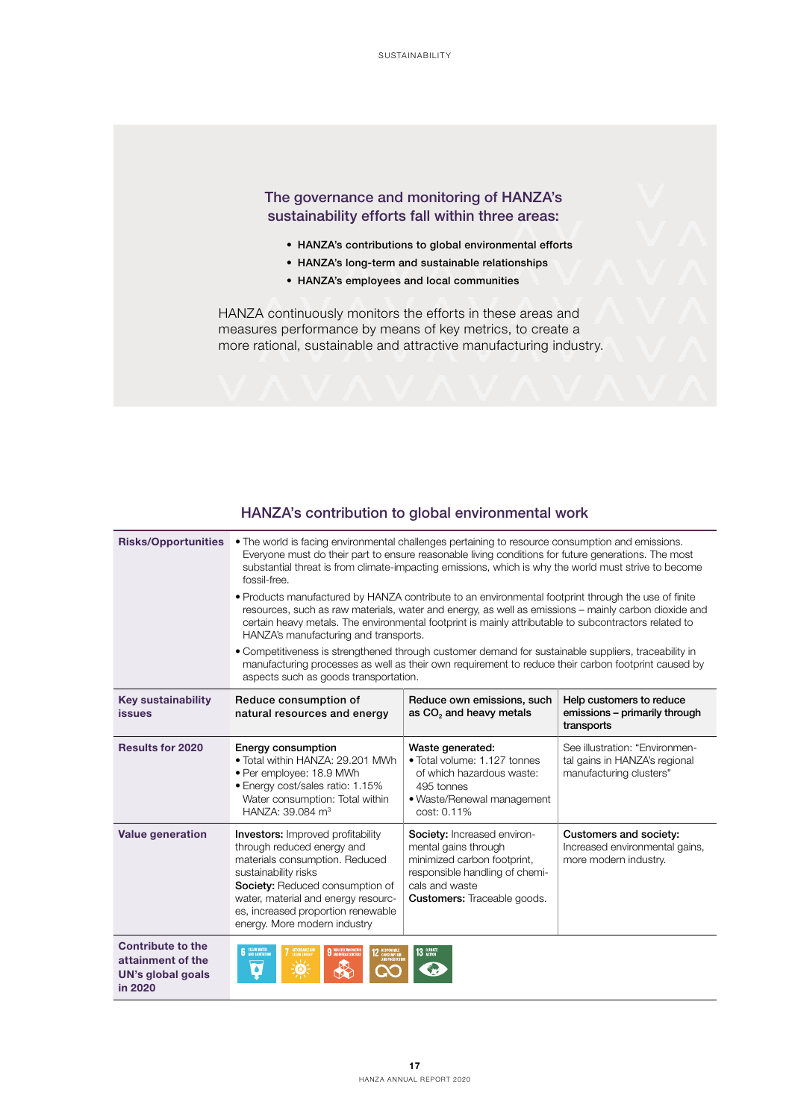# The governance and monitoring of HANZA's sustainability efforts fall within three areas:

- HANZA's contributions to global environmental efforts
- HANZA's long-term and sustainable relationships
- HANZA's employees and local communities

HANZA continuously monitors the efforts in these areas and measures performance by means of key metrics, to create a more rational, sustainable and attractive manufacturing industry.

| <b>Risks/Opportunities</b>                                                    | • The world is facing environmental challenges pertaining to resource consumption and emissions.<br>Everyone must do their part to ensure reasonable living conditions for future generations. The most<br>substantial threat is from climate-impacting emissions, which is why the world must strive to become<br>fossil-free.<br>• Products manufactured by HANZA contribute to an environmental footprint through the use of finite<br>resources, such as raw materials, water and energy, as well as emissions - mainly carbon dioxide and<br>certain heavy metals. The environmental footprint is mainly attributable to subcontractors related to<br>HANZA's manufacturing and transports.<br>• Competitiveness is strengthened through customer demand for sustainable suppliers, traceability in<br>manufacturing processes as well as their own requirement to reduce their carbon footprint caused by<br>aspects such as goods transportation. |                                                                                                                                                                       |                                                                                            |
|-------------------------------------------------------------------------------|----------------------------------------------------------------------------------------------------------------------------------------------------------------------------------------------------------------------------------------------------------------------------------------------------------------------------------------------------------------------------------------------------------------------------------------------------------------------------------------------------------------------------------------------------------------------------------------------------------------------------------------------------------------------------------------------------------------------------------------------------------------------------------------------------------------------------------------------------------------------------------------------------------------------------------------------------------|-----------------------------------------------------------------------------------------------------------------------------------------------------------------------|--------------------------------------------------------------------------------------------|
| <b>Key sustainability</b><br><b>issues</b>                                    | Reduce consumption of<br>natural resources and energy                                                                                                                                                                                                                                                                                                                                                                                                                                                                                                                                                                                                                                                                                                                                                                                                                                                                                                    | Reduce own emissions, such<br>as CO <sub>2</sub> and heavy metals                                                                                                     | Help customers to reduce<br>emissions - primarily through<br>transports                    |
| <b>Results for 2020</b>                                                       | Energy consumption<br>. Total within HANZA: 29.201 MWh<br>• Per employee: 18.9 MWh<br>· Energy cost/sales ratio: 1.15%<br>Water consumption: Total within<br>HANZA: 39.084 m <sup>3</sup>                                                                                                                                                                                                                                                                                                                                                                                                                                                                                                                                                                                                                                                                                                                                                                | Waste generated:<br>• Total volume: 1.127 tonnes<br>of which hazardous waste:<br>495 tonnes<br>• Waste/Renewal management<br>cost: 0.11%                              | See illustration: "Environmen-<br>tal gains in HANZA's regional<br>manufacturing clusters" |
| <b>Value generation</b>                                                       | <b>Investors:</b> Improved profitability<br>through reduced energy and<br>materials consumption. Reduced<br>sustainability risks<br>Society: Reduced consumption of<br>water, material and energy resourc-<br>es, increased proportion renewable<br>energy. More modern industry                                                                                                                                                                                                                                                                                                                                                                                                                                                                                                                                                                                                                                                                         | Society: Increased environ-<br>mental gains through<br>minimized carbon footprint,<br>responsible handling of chemi-<br>cals and waste<br>Customers: Traceable goods. | Customers and society:<br>Increased environmental gains,<br>more modern industry.          |
| <b>Contribute to the</b><br>attainment of the<br>UN's global goals<br>in 2020 | <b>6</b> CLEAN WATER<br>9 MOUSTRY AND VALUE<br>٠<br>ŢΟ.                                                                                                                                                                                                                                                                                                                                                                                                                                                                                                                                                                                                                                                                                                                                                                                                                                                                                                  | 13 GLINATE                                                                                                                                                            |                                                                                            |

# HANZA's contribution to global environmental work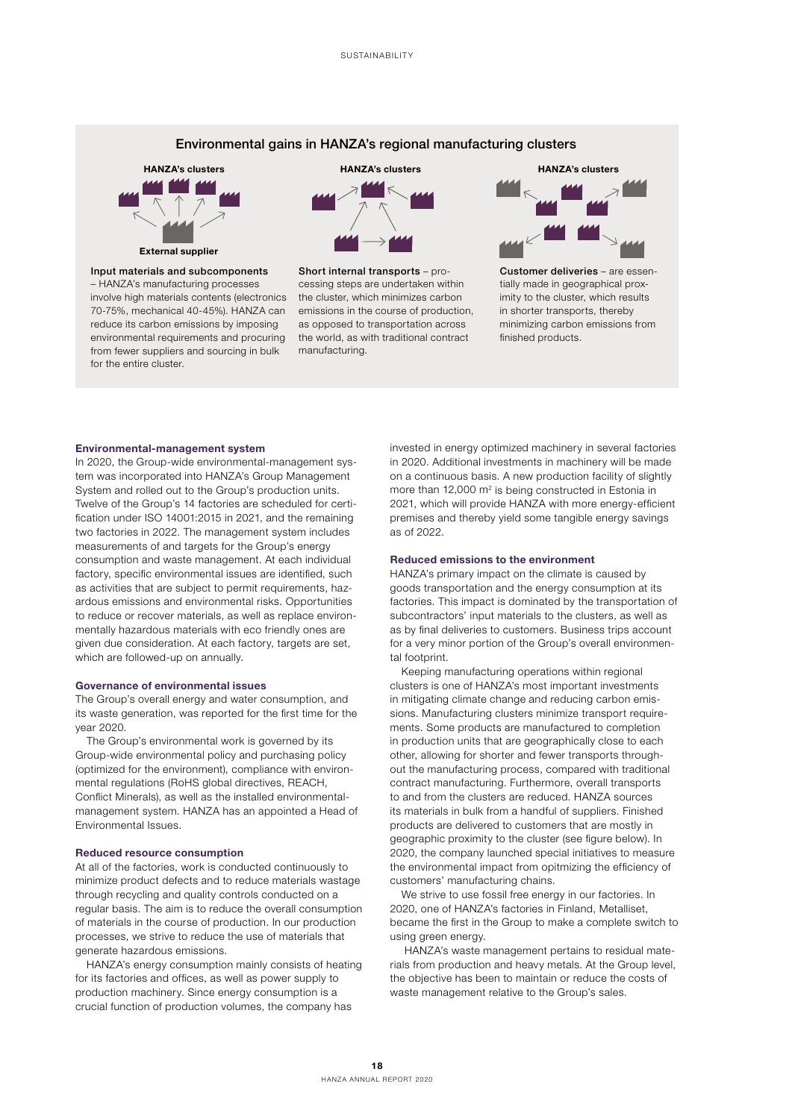# Environmental gains in HANZA's regional manufacturing clusters



#### Input materials and subcomponents

– HANZA's manufacturing processes involve high materials contents (electronics 70-75%, mechanical 40-45%). HANZA can reduce its carbon emissions by imposing environmental requirements and procuring from fewer suppliers and sourcing in bulk for the entire cluster.



Short internal transports – processing steps are undertaken within the cluster, which minimizes carbon emissions in the course of production, as opposed to transportation across the world, as with traditional contract manufacturing.



Customer deliveries – are essentially made in geographical proximity to the cluster, which results in shorter transports, thereby minimizing carbon emissions from finished products.

#### Environmental-management system

In 2020, the Group-wide environmental-management system was incorporated into HANZA's Group Management System and rolled out to the Group's production units. Twelve of the Group's 14 factories are scheduled for certification under ISO 14001:2015 in 2021, and the remaining two factories in 2022. The management system includes measurements of and targets for the Group's energy consumption and waste management. At each individual factory, specific environmental issues are identified, such as activities that are subject to permit requirements, hazardous emissions and environmental risks. Opportunities to reduce or recover materials, as well as replace environmentally hazardous materials with eco friendly ones are given due consideration. At each factory, targets are set, which are followed-up on annually.

## Governance of environmental issues

The Group's overall energy and water consumption, and its waste generation, was reported for the first time for the year 2020.

The Group's environmental work is governed by its Group-wide environmental policy and purchasing policy (optimized for the environment), compliance with environmental regulations (RoHS global directives, REACH, Conflict Minerals), as well as the installed environmentalmanagement system. HANZA has an appointed a Head of Environmental Issues.

### Reduced resource consumption

At all of the factories, work is conducted continuously to minimize product defects and to reduce materials wastage through recycling and quality controls conducted on a regular basis. The aim is to reduce the overall consumption of materials in the course of production. In our production processes, we strive to reduce the use of materials that generate hazardous emissions.

HANZA's energy consumption mainly consists of heating for its factories and offices, as well as power supply to production machinery. Since energy consumption is a crucial function of production volumes, the company has

invested in energy optimized machinery in several factories in 2020. Additional investments in machinery will be made on a continuous basis. A new production facility of slightly more than 12,000 m<sup>2</sup> is being constructed in Estonia in 2021, which will provide HANZA with more energy-efficient premises and thereby yield some tangible energy savings as of 2022.

# Reduced emissions to the environment

HANZA's primary impact on the climate is caused by goods transportation and the energy consumption at its factories. This impact is dominated by the transportation of subcontractors' input materials to the clusters, as well as as by final deliveries to customers. Business trips account for a very minor portion of the Group's overall environmental footprint

Keeping manufacturing operations within regional clusters is one of HANZA's most important investments in mitigating climate change and reducing carbon emissions. Manufacturing clusters minimize transport requirements. Some products are manufactured to completion in production units that are geographically close to each other, allowing for shorter and fewer transports throughout the manufacturing process, compared with traditional contract manufacturing. Furthermore, overall transports to and from the clusters are reduced. HANZA sources its materials in bulk from a handful of suppliers. Finished products are delivered to customers that are mostly in geographic proximity to the cluster (see figure below). In 2020, the company launched special initiatives to measure the environmental impact from opitmizing the efficiency of customers' manufacturing chains.

We strive to use fossil free energy in our factories. In 2020, one of HANZA's factories in Finland, Metalliset, became the first in the Group to make a complete switch to using green energy.

 HANZA's waste management pertains to residual materials from production and heavy metals. At the Group level, the objective has been to maintain or reduce the costs of waste management relative to the Group's sales.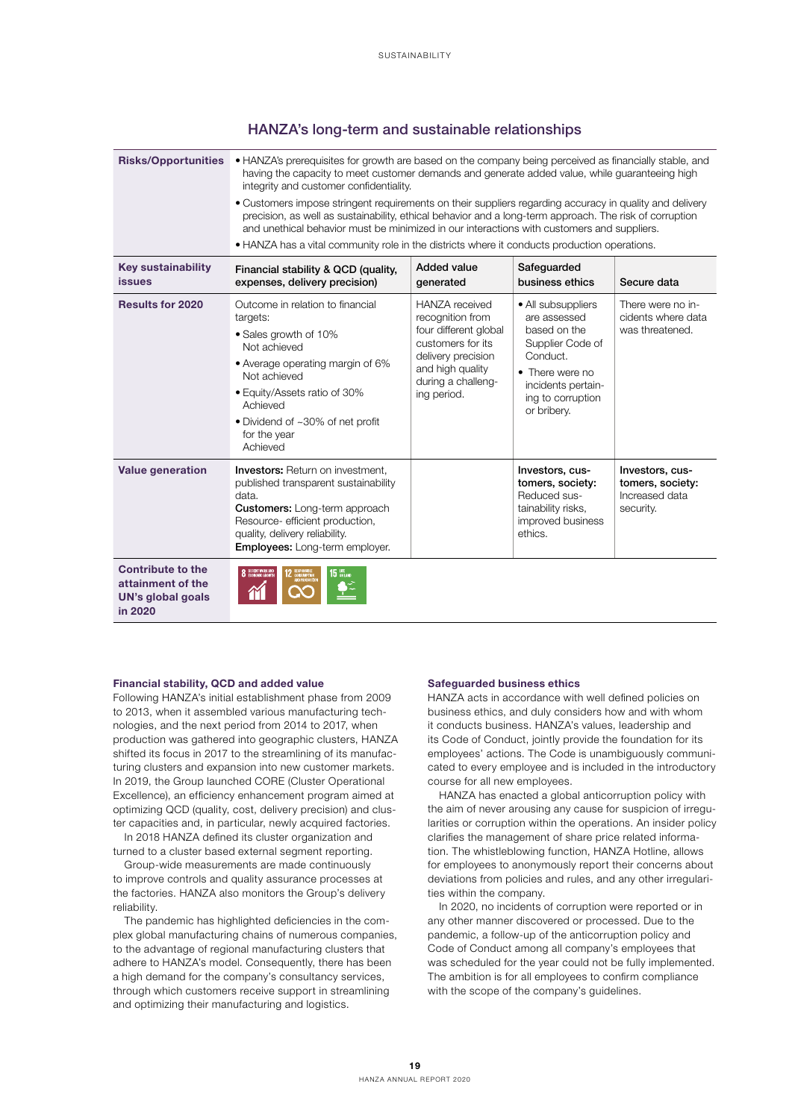|  |  |  |  |  | HANZA's long-term and sustainable relationships |  |
|--|--|--|--|--|-------------------------------------------------|--|
|--|--|--|--|--|-------------------------------------------------|--|

| <b>Risks/Opportunities</b>                                                           | • HANZA's prerequisites for growth are based on the company being perceived as financially stable, and<br>having the capacity to meet customer demands and generate added value, while guaranteeing high<br>integrity and customer confidentiality.<br>• Customers impose stringent requirements on their suppliers regarding accuracy in quality and delivery<br>precision, as well as sustainability, ethical behavior and a long-term approach. The risk of corruption<br>and unethical behavior must be minimized in our interactions with customers and suppliers.<br>• HANZA has a vital community role in the districts where it conducts production operations. |                                                                                                                                                                 |                                                                                                                                                                 |                                                                    |
|--------------------------------------------------------------------------------------|-------------------------------------------------------------------------------------------------------------------------------------------------------------------------------------------------------------------------------------------------------------------------------------------------------------------------------------------------------------------------------------------------------------------------------------------------------------------------------------------------------------------------------------------------------------------------------------------------------------------------------------------------------------------------|-----------------------------------------------------------------------------------------------------------------------------------------------------------------|-----------------------------------------------------------------------------------------------------------------------------------------------------------------|--------------------------------------------------------------------|
| <b>Key sustainability</b><br><b>issues</b>                                           | Financial stability & QCD (quality,<br>expenses, delivery precision)                                                                                                                                                                                                                                                                                                                                                                                                                                                                                                                                                                                                    | <b>Added value</b><br>generated                                                                                                                                 | Safeguarded<br>business ethics                                                                                                                                  | Secure data                                                        |
| <b>Results for 2020</b>                                                              | Outcome in relation to financial<br>targets:<br>• Sales growth of 10%<br>Not achieved<br>• Average operating margin of 6%<br>Not achieved<br>• Equity/Assets ratio of 30%<br>Achieved<br>• Dividend of ~30% of net profit<br>for the year<br>Achieved                                                                                                                                                                                                                                                                                                                                                                                                                   | HANZA received<br>recognition from<br>four different global<br>customers for its<br>delivery precision<br>and high quality<br>during a challeng-<br>ing period. | • All subsuppliers<br>are assessed<br>based on the<br>Supplier Code of<br>Conduct.<br>• There were no<br>incidents pertain-<br>ing to corruption<br>or bribery. | There were no in-<br>cidents where data<br>was threatened.         |
| <b>Value generation</b>                                                              | Investors: Return on investment,<br>published transparent sustainability<br>data.<br><b>Customers:</b> Long-term approach<br>Resource- efficient production,<br>quality, delivery reliability.<br><b>Employees:</b> Long-term employer.                                                                                                                                                                                                                                                                                                                                                                                                                                 |                                                                                                                                                                 | Investors, cus-<br>tomers, society:<br>Reduced sus-<br>tainability risks,<br>improved business<br>ethics.                                                       | Investors, cus-<br>tomers, society:<br>Increased data<br>security. |
| <b>Contribute to the</b><br>attainment of the<br><b>UN's global goals</b><br>in 2020 | <b>8 DECENT WORK AND</b><br><b>15 GN LAND</b>                                                                                                                                                                                                                                                                                                                                                                                                                                                                                                                                                                                                                           |                                                                                                                                                                 |                                                                                                                                                                 |                                                                    |

### Financial stability, QCD and added value

Following HANZA's initial establishment phase from 2009 to 2013, when it assembled various manufacturing technologies, and the next period from 2014 to 2017, when production was gathered into geographic clusters, HANZA shifted its focus in 2017 to the streamlining of its manufacturing clusters and expansion into new customer markets. In 2019, the Group launched CORE (Cluster Operational Excellence), an efficiency enhancement program aimed at optimizing QCD (quality, cost, delivery precision) and cluster capacities and, in particular, newly acquired factories.

In 2018 HANZA defined its cluster organization and turned to a cluster based external segment reporting.

Group-wide measurements are made continuously to improve controls and quality assurance processes at the factories. HANZA also monitors the Group's delivery reliability.

The pandemic has highlighted deficiencies in the complex global manufacturing chains of numerous companies, to the advantage of regional manufacturing clusters that adhere to HANZA's model. Consequently, there has been a high demand for the company's consultancy services, through which customers receive support in streamlining and optimizing their manufacturing and logistics.

#### Safeguarded business ethics

HANZA acts in accordance with well defined policies on business ethics, and duly considers how and with whom it conducts business. HANZA's values, leadership and its Code of Conduct, jointly provide the foundation for its employees' actions. The Code is unambiguously communicated to every employee and is included in the introductory course for all new employees.

HANZA has enacted a global anticorruption policy with the aim of never arousing any cause for suspicion of irregularities or corruption within the operations. An insider policy clarifies the management of share price related information. The whistleblowing function, HANZA Hotline, allows for employees to anonymously report their concerns about deviations from policies and rules, and any other irregularities within the company.

In 2020, no incidents of corruption were reported or in any other manner discovered or processed. Due to the pandemic, a follow-up of the anticorruption policy and Code of Conduct among all company's employees that was scheduled for the year could not be fully implemented. The ambition is for all employees to confirm compliance with the scope of the company's guidelines.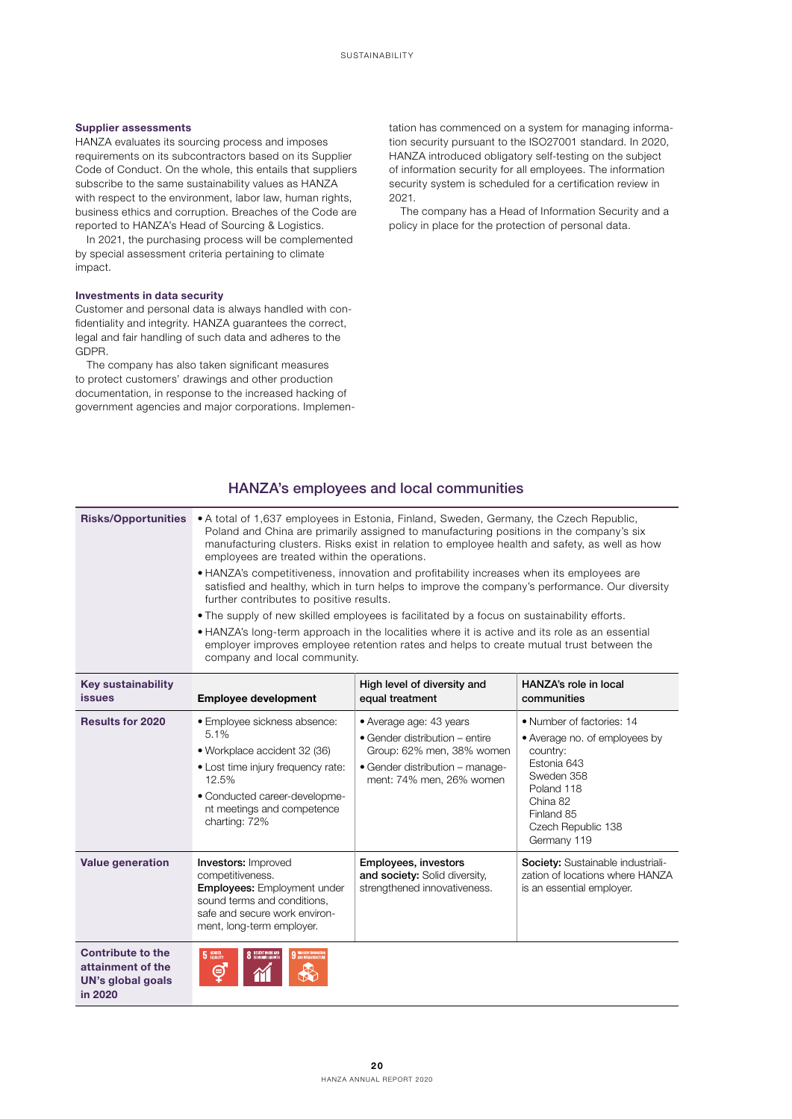# Supplier assessments

HANZA evaluates its sourcing process and imposes requirements on its subcontractors based on its Supplier Code of Conduct. On the whole, this entails that suppliers subscribe to the same sustainability values as HANZA with respect to the environment, labor law, human rights, business ethics and corruption. Breaches of the Code are reported to HANZA's Head of Sourcing & Logistics.

In 2021, the purchasing process will be complemented by special assessment criteria pertaining to climate impact.

#### Investments in data security

Customer and personal data is always handled with confidentiality and integrity. HANZA guarantees the correct, legal and fair handling of such data and adheres to the GDPR.

The company has also taken significant measures to protect customers' drawings and other production documentation, in response to the increased hacking of government agencies and major corporations. Implementation has commenced on a system for managing information security pursuant to the ISO27001 standard. In 2020, HANZA introduced obligatory self-testing on the subject of information security for all employees. The information security system is scheduled for a certification review in 2021.

The company has a Head of Information Security and a policy in place for the protection of personal data.

# HANZA's employees and local communities

|                                                                               |                                                                                                                                                                                                                                                                                                                                                                                                                                                                                                                                                                                                                                                                                                                                                                                                                                                                                                         | <u>HANZAS CHIPIOVECS ANU IOCAI COMMITTIONICS</u>                                                                                                      |                                                                                                                                                                                  |
|-------------------------------------------------------------------------------|---------------------------------------------------------------------------------------------------------------------------------------------------------------------------------------------------------------------------------------------------------------------------------------------------------------------------------------------------------------------------------------------------------------------------------------------------------------------------------------------------------------------------------------------------------------------------------------------------------------------------------------------------------------------------------------------------------------------------------------------------------------------------------------------------------------------------------------------------------------------------------------------------------|-------------------------------------------------------------------------------------------------------------------------------------------------------|----------------------------------------------------------------------------------------------------------------------------------------------------------------------------------|
| <b>Risks/Opportunities</b>                                                    | • A total of 1,637 employees in Estonia, Finland, Sweden, Germany, the Czech Republic,<br>Poland and China are primarily assigned to manufacturing positions in the company's six<br>manufacturing clusters. Risks exist in relation to employee health and safety, as well as how<br>employees are treated within the operations.<br>. HANZA's competitiveness, innovation and profitability increases when its employees are<br>satisfied and healthy, which in turn helps to improve the company's performance. Our diversity<br>further contributes to positive results.<br>• The supply of new skilled employees is facilitated by a focus on sustainability efforts.<br>• HANZA's long-term approach in the localities where it is active and its role as an essential<br>employer improves employee retention rates and helps to create mutual trust between the<br>company and local community. |                                                                                                                                                       |                                                                                                                                                                                  |
| <b>Key sustainability</b><br><b>issues</b>                                    | <b>Employee development</b>                                                                                                                                                                                                                                                                                                                                                                                                                                                                                                                                                                                                                                                                                                                                                                                                                                                                             | High level of diversity and<br>equal treatment                                                                                                        | HANZA's role in local<br>communities                                                                                                                                             |
| <b>Results for 2020</b>                                                       | · Employee sickness absence:<br>5.1%<br>• Workplace accident 32 (36)<br>• Lost time injury frequency rate:<br>12.5%<br>· Conducted career-developme-<br>nt meetings and competence<br>charting: 72%                                                                                                                                                                                                                                                                                                                                                                                                                                                                                                                                                                                                                                                                                                     | • Average age: 43 years<br>• Gender distribution – entire<br>Group: 62% men, 38% women<br>• Gender distribution - manage-<br>ment: 74% men, 26% women | • Number of factories: 14<br>• Average no. of employees by<br>country:<br>Estonia 643<br>Sweden 358<br>Poland 118<br>China 82<br>Finland 85<br>Czech Republic 138<br>Germany 119 |
| <b>Value generation</b>                                                       | <b>Investors: Improved</b><br>competitiveness.<br><b>Employees:</b> Employment under<br>sound terms and conditions.<br>safe and secure work environ-<br>ment, long-term employer.                                                                                                                                                                                                                                                                                                                                                                                                                                                                                                                                                                                                                                                                                                                       | Employees, investors<br>and society: Solid diversity,<br>strengthened innovativeness.                                                                 | <b>Society:</b> Sustainable industriali-<br>zation of locations where HANZA<br>is an essential employer.                                                                         |
| <b>Contribute to the</b><br>attainment of the<br>UN's global goals<br>in 2020 | <b>5</b> GENDER<br>8 DECENT WORK AND<br><b>9</b> MOUSTRY, INVOLVED<br>⊜                                                                                                                                                                                                                                                                                                                                                                                                                                                                                                                                                                                                                                                                                                                                                                                                                                 |                                                                                                                                                       |                                                                                                                                                                                  |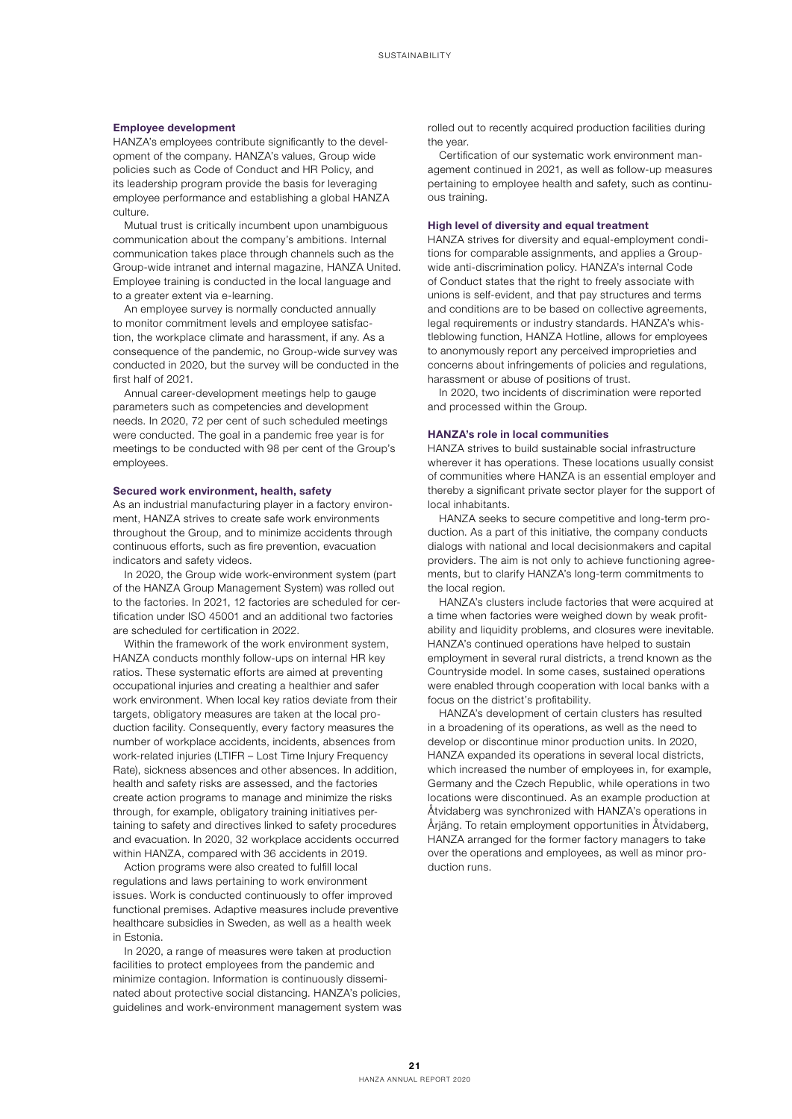## Employee development

HANZA's employees contribute significantly to the development of the company. HANZA's values, Group wide policies such as Code of Conduct and HR Policy, and its leadership program provide the basis for leveraging employee performance and establishing a global HANZA culture.

Mutual trust is critically incumbent upon unambiguous communication about the company's ambitions. Internal communication takes place through channels such as the Group-wide intranet and internal magazine, HANZA United. Employee training is conducted in the local language and to a greater extent via e-learning.

An employee survey is normally conducted annually to monitor commitment levels and employee satisfaction, the workplace climate and harassment, if any. As a consequence of the pandemic, no Group-wide survey was conducted in 2020, but the survey will be conducted in the first half of 2021.

Annual career-development meetings help to gauge parameters such as competencies and development needs. In 2020, 72 per cent of such scheduled meetings were conducted. The goal in a pandemic free year is for meetings to be conducted with 98 per cent of the Group's employees.

## Secured work environment, health, safety

As an industrial manufacturing player in a factory environment, HANZA strives to create safe work environments throughout the Group, and to minimize accidents through continuous efforts, such as fire prevention, evacuation indicators and safety videos.

In 2020, the Group wide work-environment system (part of the HANZA Group Management System) was rolled out to the factories. In 2021, 12 factories are scheduled for certification under ISO 45001 and an additional two factories are scheduled for certification in 2022.

Within the framework of the work environment system, HANZA conducts monthly follow-ups on internal HR key ratios. These systematic efforts are aimed at preventing occupational injuries and creating a healthier and safer work environment. When local key ratios deviate from their targets, obligatory measures are taken at the local production facility. Consequently, every factory measures the number of workplace accidents, incidents, absences from work-related injuries (LTIFR – Lost Time Injury Frequency Rate), sickness absences and other absences. In addition, health and safety risks are assessed, and the factories create action programs to manage and minimize the risks through, for example, obligatory training initiatives pertaining to safety and directives linked to safety procedures and evacuation. In 2020, 32 workplace accidents occurred within HANZA, compared with 36 accidents in 2019.

Action programs were also created to fulfill local regulations and laws pertaining to work environment issues. Work is conducted continuously to offer improved functional premises. Adaptive measures include preventive healthcare subsidies in Sweden, as well as a health week in Estonia.

In 2020, a range of measures were taken at production facilities to protect employees from the pandemic and minimize contagion. Information is continuously disseminated about protective social distancing. HANZA's policies, guidelines and work-environment management system was rolled out to recently acquired production facilities during the year.

Certification of our systematic work environment management continued in 2021, as well as follow-up measures pertaining to employee health and safety, such as continuous training.

# High level of diversity and equal treatment

HANZA strives for diversity and equal-employment conditions for comparable assignments, and applies a Groupwide anti-discrimination policy. HANZA's internal Code of Conduct states that the right to freely associate with unions is self-evident, and that pay structures and terms and conditions are to be based on collective agreements, legal requirements or industry standards. HANZA's whistleblowing function, HANZA Hotline, allows for employees to anonymously report any perceived improprieties and concerns about infringements of policies and regulations, harassment or abuse of positions of trust.

In 2020, two incidents of discrimination were reported and processed within the Group.

#### HANZA's role in local communities

HANZA strives to build sustainable social infrastructure wherever it has operations. These locations usually consist of communities where HANZA is an essential employer and thereby a significant private sector player for the support of local inhabitants.

HANZA seeks to secure competitive and long-term production. As a part of this initiative, the company conducts dialogs with national and local decisionmakers and capital providers. The aim is not only to achieve functioning agreements, but to clarify HANZA's long-term commitments to the local region.

HANZA's clusters include factories that were acquired at a time when factories were weighed down by weak profitability and liquidity problems, and closures were inevitable. HANZA's continued operations have helped to sustain employment in several rural districts, a trend known as the Countryside model. In some cases, sustained operations were enabled through cooperation with local banks with a focus on the district's profitability.

HANZA's development of certain clusters has resulted in a broadening of its operations, as well as the need to develop or discontinue minor production units. In 2020, HANZA expanded its operations in several local districts, which increased the number of employees in, for example, Germany and the Czech Republic, while operations in two locations were discontinued. As an example production at Åtvidaberg was synchronized with HANZA's operations in Årjäng. To retain employment opportunities in Åtvidaberg, HANZA arranged for the former factory managers to take over the operations and employees, as well as minor production runs.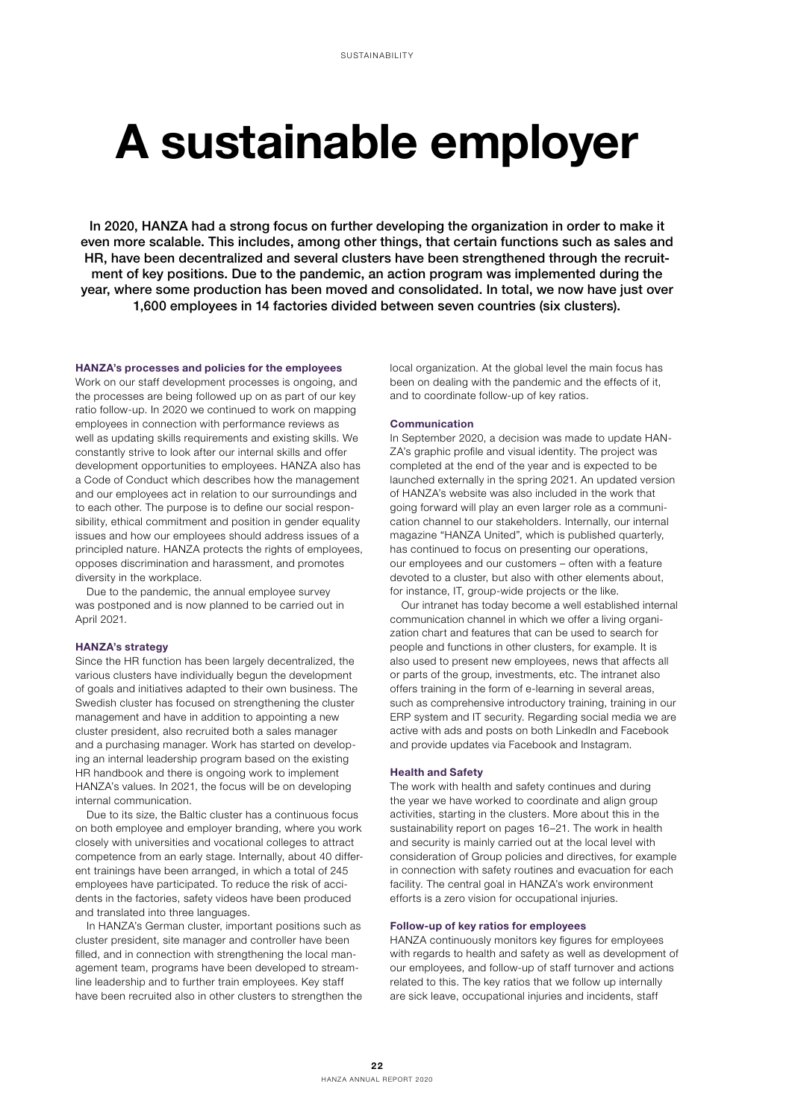# A sustainable employer

In 2020, HANZA had a strong focus on further developing the organization in order to make it even more scalable. This includes, among other things, that certain functions such as sales and HR, have been decentralized and several clusters have been strengthened through the recruitment of key positions. Due to the pandemic, an action program was implemented during the year, where some production has been moved and consolidated. In total, we now have just over 1,600 employees in 14 factories divided between seven countries (six clusters).

#### HANZA's processes and policies for the employees

Work on our staff development processes is ongoing, and the processes are being followed up on as part of our key ratio follow-up. In 2020 we continued to work on mapping employees in connection with performance reviews as well as updating skills requirements and existing skills. We constantly strive to look after our internal skills and offer development opportunities to employees. HANZA also has a Code of Conduct which describes how the management and our employees act in relation to our surroundings and to each other. The purpose is to define our social responsibility, ethical commitment and position in gender equality issues and how our employees should address issues of a principled nature. HANZA protects the rights of employees, opposes discrimination and harassment, and promotes diversity in the workplace.

Due to the pandemic, the annual employee survey was postponed and is now planned to be carried out in April 2021.

# HANZA's strategy

Since the HR function has been largely decentralized, the various clusters have individually begun the development of goals and initiatives adapted to their own business. The Swedish cluster has focused on strengthening the cluster management and have in addition to appointing a new cluster president, also recruited both a sales manager and a purchasing manager. Work has started on developing an internal leadership program based on the existing HR handbook and there is ongoing work to implement HANZA's values. In 2021, the focus will be on developing internal communication.

Due to its size, the Baltic cluster has a continuous focus on both employee and employer branding, where you work closely with universities and vocational colleges to attract competence from an early stage. Internally, about 40 different trainings have been arranged, in which a total of 245 employees have participated. To reduce the risk of accidents in the factories, safety videos have been produced and translated into three languages.

In HANZA's German cluster, important positions such as cluster president, site manager and controller have been filled, and in connection with strengthening the local management team, programs have been developed to streamline leadership and to further train employees. Key staff have been recruited also in other clusters to strengthen the local organization. At the global level the main focus has been on dealing with the pandemic and the effects of it, and to coordinate follow-up of key ratios.

#### Communication

In September 2020, a decision was made to update HAN-ZA's graphic profile and visual identity. The project was completed at the end of the year and is expected to be launched externally in the spring 2021. An updated version of HANZA's website was also included in the work that going forward will play an even larger role as a communication channel to our stakeholders. Internally, our internal magazine "HANZA United", which is published quarterly, has continued to focus on presenting our operations, our employees and our customers – often with a feature devoted to a cluster, but also with other elements about, for instance, IT, group-wide projects or the like.

Our intranet has today become a well established internal communication channel in which we offer a living organization chart and features that can be used to search for people and functions in other clusters, for example. It is also used to present new employees, news that affects all or parts of the group, investments, etc. The intranet also offers training in the form of e-learning in several areas, such as comprehensive introductory training, training in our ERP system and IT security. Regarding social media we are active with ads and posts on both LinkedIn and Facebook and provide updates via Facebook and Instagram.

## Health and Safety

The work with health and safety continues and during the year we have worked to coordinate and align group activities, starting in the clusters. More about this in the sustainability report on pages 16–21. The work in health and security is mainly carried out at the local level with consideration of Group policies and directives, for example in connection with safety routines and evacuation for each facility. The central goal in HANZA's work environment efforts is a zero vision for occupational injuries.

### Follow-up of key ratios for employees

HANZA continuously monitors key figures for employees with regards to health and safety as well as development of our employees, and follow-up of staff turnover and actions related to this. The key ratios that we follow up internally are sick leave, occupational injuries and incidents, staff